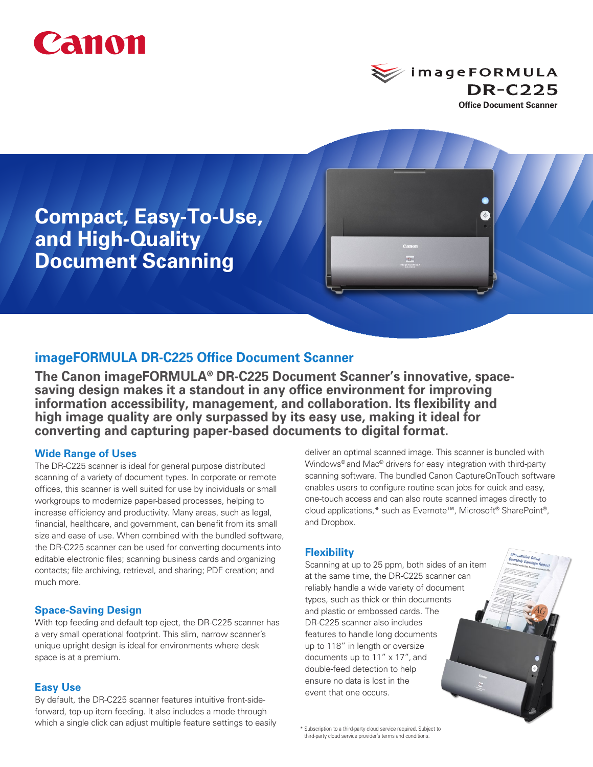



**Compact, Easy-To-Use, and High-Quality Document Scanning**

# **imageFORMULA DR-C225 Office Document Scanner**

**The Canon imageFORMULA® DR-C225 Document Scanner's innovative, spacesaving design makes it a standout in any office environment for improving information accessibility, management, and collaboration. Its flexibility and high image quality are only surpassed by its easy use, making it ideal for converting and capturing paper-based documents to digital format.**

### **Wide Range of Uses**

The DR-C225 scanner is ideal for general purpose distributed scanning of a variety of document types. In corporate or remote offices, this scanner is well suited for use by individuals or small workgroups to modernize paper-based processes, helping to increase efficiency and productivity. Many areas, such as legal, financial, healthcare, and government, can benefit from its small size and ease of use. When combined with the bundled software, the DR-C225 scanner can be used for converting documents into editable electronic files; scanning business cards and organizing contacts; file archiving, retrieval, and sharing; PDF creation; and much more.

### **Space-Saving Design**

With top feeding and default top eject, the DR-C225 scanner has a very small operational footprint. This slim, narrow scanner's unique upright design is ideal for environments where desk space is at a premium.

#### **Easy Use**

By default, the DR-C225 scanner features intuitive front-sideforward, top-up item feeding. It also includes a mode through which a single click can adjust multiple feature settings to easily deliver an optimal scanned image. This scanner is bundled with Windows® and Mac® drivers for easy integration with third-party scanning software. The bundled Canon CaptureOnTouch software enables users to configure routine scan jobs for quick and easy, one-touch access and can also route scanned images directly to cloud applications,\* such as Evernote™, Microsoft® SharePoint®, and Dropbox.

#### **Flexibility**

Scanning at up to 25 ppm, both sides of an item at the same time, the DR-C225 scanner can reliably handle a wide variety of document types, such as thick or thin documents and plastic or embossed cards. The DR-C225 scanner also includes features to handle long documents up to 118" in length or oversize documents up to 11" x 17", and double-feed detection to help ensure no data is lost in the event that one occurs.

 \* Subscription to a third-party cloud service required. Subject to third-party cloud service provider's terms and conditions.